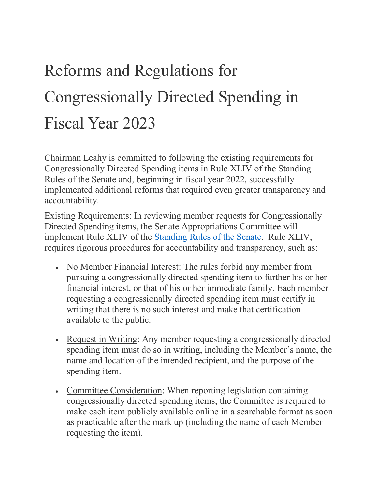## Reforms and Regulations for Congressionally Directed Spending in Fiscal Year 2023

Chairman Leahy is committed to following the existing requirements for Congressionally Directed Spending items in Rule XLIV of the Standing Rules of the Senate and, beginning in fiscal year 2022, successfully implemented additional reforms that required even greater transparency and accountability.

Existing Requirements: In reviewing member requests for Congressionally Directed Spending items, the Senate Appropriations Committee will implement Rule XLIV of the [Standing Rules of the Senate.](https://www.rules.senate.gov/rules-of-the-senate) Rule XLIV, requires rigorous procedures for accountability and transparency, such as:

- No Member Financial Interest: The rules forbid any member from pursuing a congressionally directed spending item to further his or her financial interest, or that of his or her immediate family. Each member requesting a congressionally directed spending item must certify in writing that there is no such interest and make that certification available to the public.
- Request in Writing: Any member requesting a congressionally directed spending item must do so in writing, including the Member's name, the name and location of the intended recipient, and the purpose of the spending item.
- Committee Consideration: When reporting legislation containing congressionally directed spending items, the Committee is required to make each item publicly available online in a searchable format as soon as practicable after the mark up (including the name of each Member requesting the item).